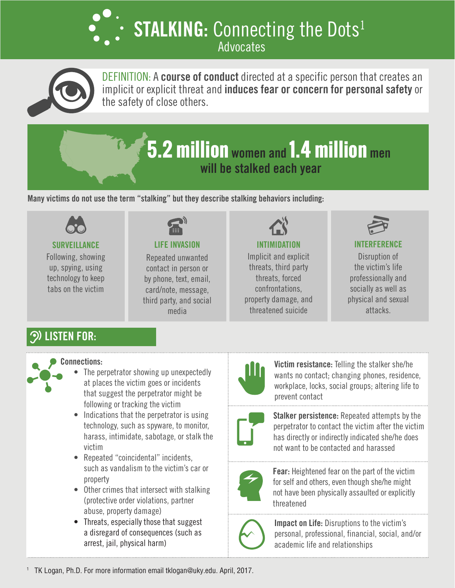**STALKING: Connecting the Dots<sup>1</sup>** Advocates



DEFINITION: A **course of conduct** directed at a specific person that creates an implicit or explicit threat and **induces fear or concern for personal safety** or the safety of close others.

# **5.2 million women and 1.4 million men will be stalked each year**

**Many victims do not use the term "stalking" but they describe stalking behaviors including:**



**SURVEILLANCE**

Following, showing up, spying, using technology to keep tabs on the victim



#### **LIFE INVASION**

Repeated unwanted contact in person or by phone, text, email, card/note, message, third party, and social media



Implicit and explicit threats, third party threats, forced confrontations, property damage, and threatened suicide



### **INTERFERENCE**

Disruption of the victim's life professionally and socially as well as physical and sexual attacks.

# **LISTEN FOR:**



#### **Connections:**

- The perpetrator showing up unexpectedly at places the victim goes or incidents that suggest the perpetrator might be following or tracking the victim
- Indications that the perpetrator is using technology, such as spyware, to monitor, harass, intimidate, sabotage, or stalk the victim
- Repeated "coincidental" incidents, such as vandalism to the victim's car or property
- Other crimes that intersect with stalking (protective order violations, partner abuse, property damage)
- Threats, especially those that suggest a disregard of consequences (such as arrest, jail, physical harm)



**Victim resistance:** Telling the stalker she/he wants no contact; changing phones, residence, workplace, locks, social groups; altering life to prevent contact



**Stalker persistence:** Repeated attempts by the perpetrator to contact the victim after the victim has directly or indirectly indicated she/he does not want to be contacted and harassed



**Fear:** Heightened fear on the part of the victim for self and others, even though she/he might not have been physically assaulted or explicitly threatened



**Impact on Life:** Disruptions to the victim's personal, professional, financial, social, and/or academic life and relationships